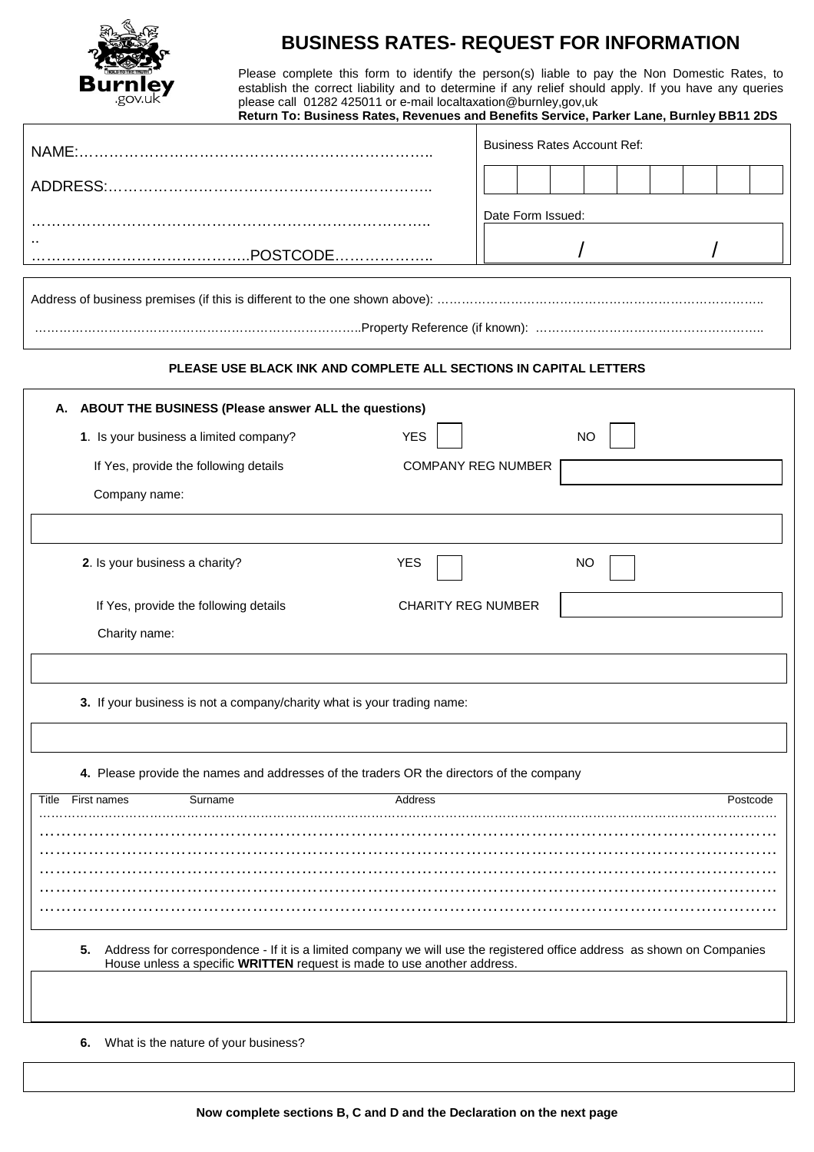

## **BUSINESS RATES- REQUEST FOR INFORMATION**

Please complete this form to identify the person(s) liable to pay the Non Domestic Rates, to establish the correct liability and to determine if any relief should apply. If you have any queries please call 01282 425011 or e-mail localtaxation@burnley,gov,uk

|                                                                                                                                                                                                          | Return To: Business Rates, Revenues and Benefits Service, Parker Lane, Burnley BB11 2DS |  |
|----------------------------------------------------------------------------------------------------------------------------------------------------------------------------------------------------------|-----------------------------------------------------------------------------------------|--|
|                                                                                                                                                                                                          | <b>Business Rates Account Ref:</b>                                                      |  |
|                                                                                                                                                                                                          |                                                                                         |  |
|                                                                                                                                                                                                          | Date Form Issued:                                                                       |  |
|                                                                                                                                                                                                          |                                                                                         |  |
|                                                                                                                                                                                                          |                                                                                         |  |
|                                                                                                                                                                                                          |                                                                                         |  |
| PLEASE USE BLACK INK AND COMPLETE ALL SECTIONS IN CAPITAL LETTERS                                                                                                                                        |                                                                                         |  |
| A. ABOUT THE BUSINESS (Please answer ALL the questions)                                                                                                                                                  |                                                                                         |  |
| 1. Is your business a limited company?<br><b>YES</b>                                                                                                                                                     | <b>NO</b>                                                                               |  |
| If Yes, provide the following details                                                                                                                                                                    | <b>COMPANY REG NUMBER</b>                                                               |  |
| Company name:                                                                                                                                                                                            |                                                                                         |  |
|                                                                                                                                                                                                          |                                                                                         |  |
| 2. Is your business a charity?<br><b>YES</b>                                                                                                                                                             | NO                                                                                      |  |
| If Yes, provide the following details                                                                                                                                                                    | <b>CHARITY REG NUMBER</b>                                                               |  |
| Charity name:                                                                                                                                                                                            |                                                                                         |  |
|                                                                                                                                                                                                          |                                                                                         |  |
| 3. If your business is not a company/charity what is your trading name:                                                                                                                                  |                                                                                         |  |
|                                                                                                                                                                                                          |                                                                                         |  |
| 4. Please provide the names and addresses of the traders OR the directors of the company                                                                                                                 |                                                                                         |  |
| First names<br>Surname<br>Title<br>Address                                                                                                                                                               | Postcode                                                                                |  |
|                                                                                                                                                                                                          |                                                                                         |  |
|                                                                                                                                                                                                          |                                                                                         |  |
|                                                                                                                                                                                                          |                                                                                         |  |
|                                                                                                                                                                                                          |                                                                                         |  |
| Address for correspondence - If it is a limited company we will use the registered office address as shown on Companies<br>5.<br>House unless a specific WRITTEN request is made to use another address. |                                                                                         |  |
|                                                                                                                                                                                                          |                                                                                         |  |
| What is the nature of your business?<br>6.                                                                                                                                                               |                                                                                         |  |